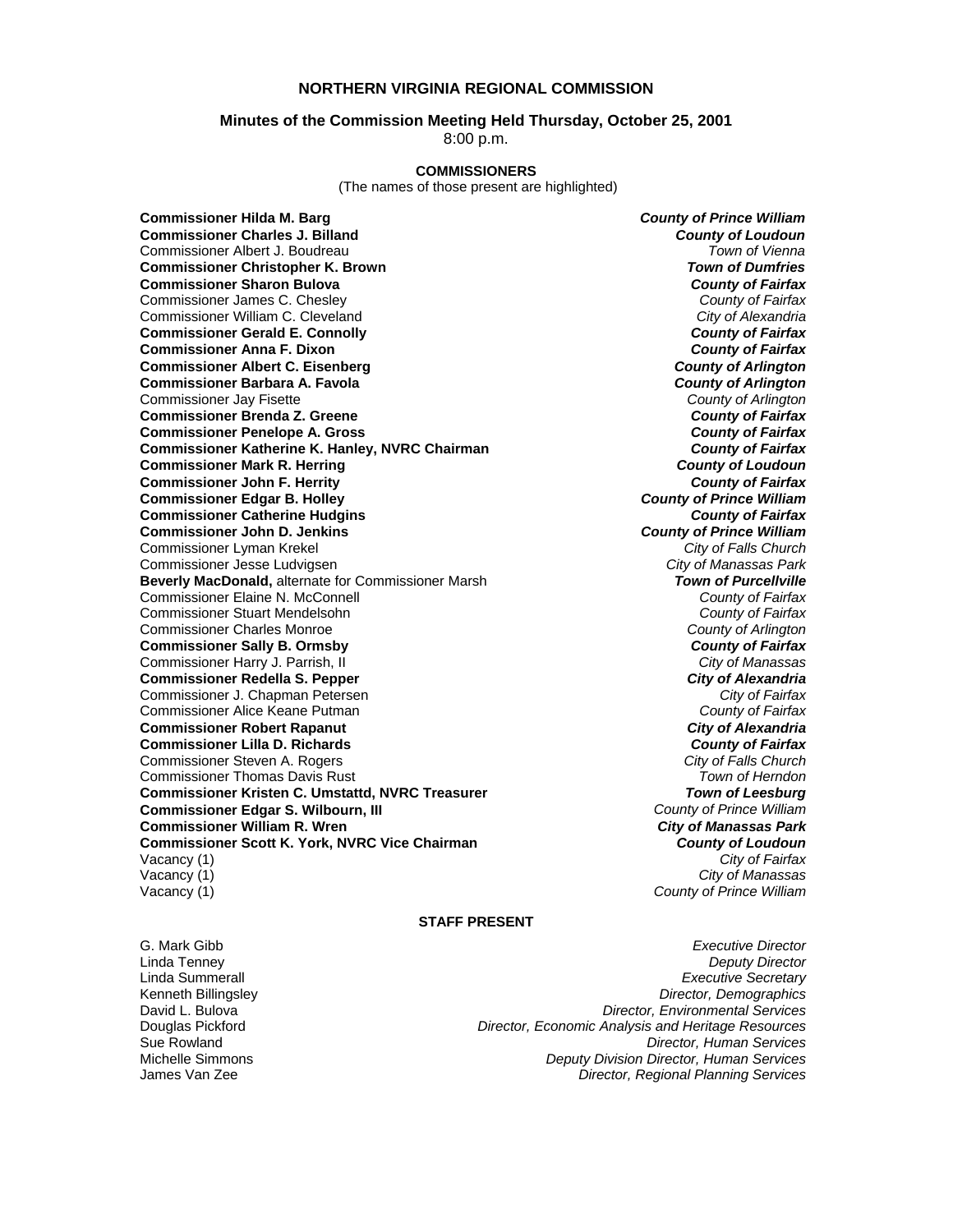# **NORTHERN VIRGINIA REGIONAL COMMISSION**

### **Minutes of the Commission Meeting Held Thursday, October 25, 2001**

8:00 p.m.

# **COMMISSIONERS**

(The names of those present are highlighted)

**Commissioner Hilda M. Barg** *County of Prince William* **Commissioner Charles J. Billand** *County of Loudoun* Commissioner Albert J. Boudreau *Town of Vienna* **Commissioner Christopher K. Brown** *Town of Dumfries*  **Commissioner Sharon Bulova** *County of Fairfax* Commissioner James C. Chesley *County of Fairfax* Commissioner William C. Cleveland **Commissioner Gerald E. Connolly** *County of Fairfax* **Commissioner Anna F. Dixon Commissioner Albert C. Eisenberg** *County of Arlington* **Commissioner Barbara A. Favola** *County of Arlington* Commissioner Jay Fisette *County of Arlington* **Commissioner Brenda Z. Greene** *County of Fairfax* **Commissioner Penelope A. Gross** *County of Fairfax* **Commissioner Katherine K. Hanley, NVRC Chairman** *County of Fairfax* **Commissioner Mark R. Herring Commissioner John F. Herrity** *County of Fairfax* **Commissioner Edgar B. Holley** *County of Prince William* **Commissioner Catherine Hudgins** *County of Fairfax* **Commissioner John D. Jenkins** *County of Prince William* Commissioner Lyman Krekel *City of Falls Church* Commissioner Jesse Ludvigsen *City of Manassas Park* **Beverly MacDonald, alternate for Commissioner Marsh** Commissioner Elaine N. McConnell *County of Fairfax* Commissioner Stuart Mendelsohn *County of Fairfax* Commissioner Charles Monroe *County of Arlington* **Commissioner Sally B. Ormsby** *County of Fairfax* Commissioner Harry J. Parrish, II *City of Manassas* **Commissioner Redella S. Pepper** *City of Alexandria* Commissioner J. Chapman Petersen *City of Fairfax* Commissioner Alice Keane Putman *County of Fairfax* **Commissioner Robert Rapanut** *City of Alexandria* **Commissioner Lilla D. Richards** *County of Fairfax* Commissioner Steven A. Rogers *City of Falls Church* Commissioner Thomas Davis Rust *Town of Herndon* **Commissioner Kristen C. Umstattd, NVRC Treasurer** *Town of Leesburg* **Commissioner Edgar S. Wilbourn, III** *County of Prince William* **Commissioner William R. Wren** *City of Manassas Park* **Commissioner Scott K. York, NVRC Vice Chairman** *County of Loudoun* Vacancy (1) *City of Fairfax* Vacancy (1) *City of Manassas* Vacancy (1) *County of Prince William*

### **STAFF PRESENT**

G. Mark Gibb *Executive Director* Linda Tenney *Deputy Director* Linda Summerall *Executive Secretary* Kenneth Billingsley *Director, Demographics* David L. Bulova *Director, Environmental Services* Douglas Pickford *Director, Economic Analysis and Heritage Resources* **Director, Human Services** Michelle Simmons *Deputy Division Director, Human Services* James Van Zee *Director, Regional Planning Services*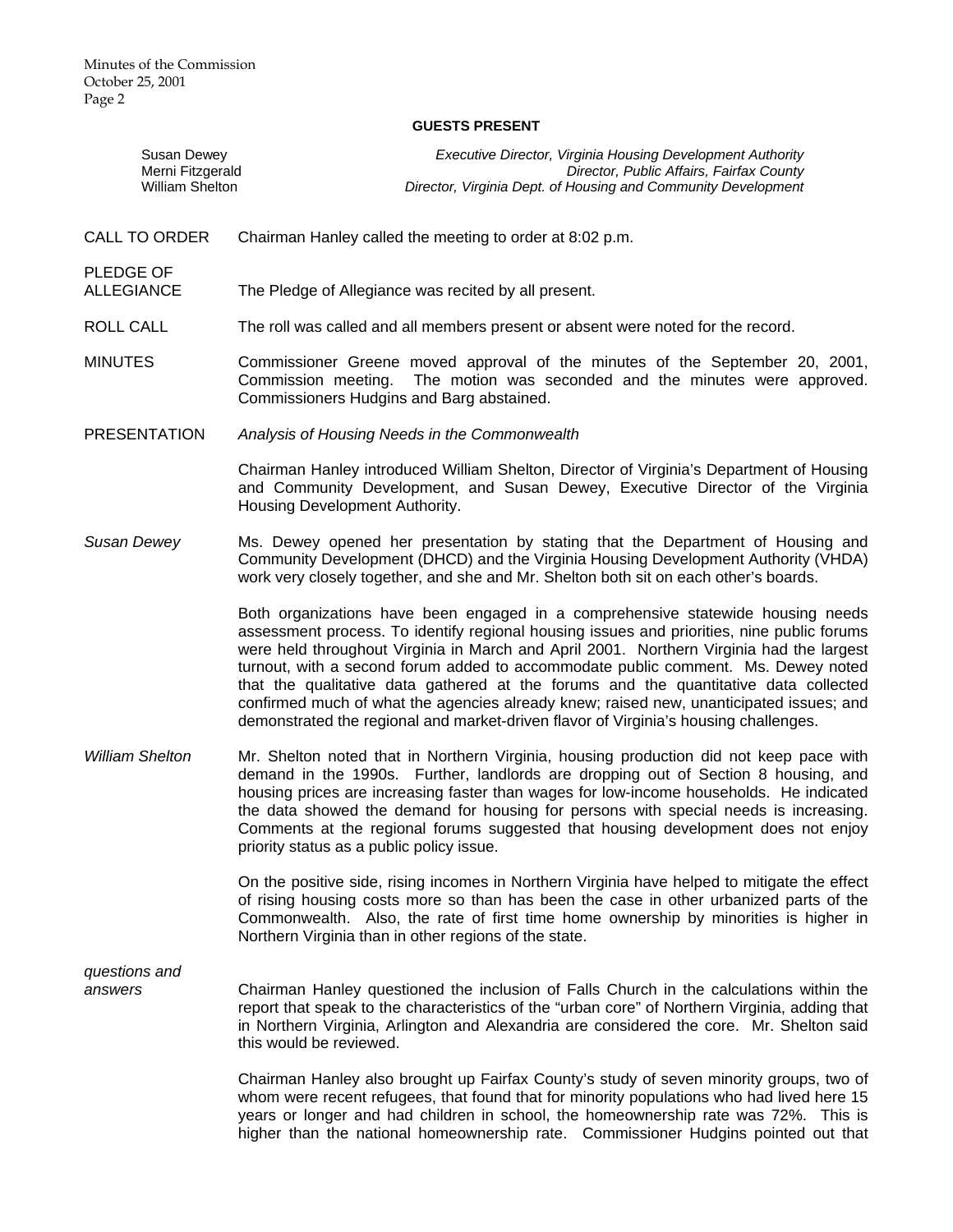#### **GUESTS PRESENT**

| Susan Dewey      | Executive Director, Virginia Housing Development Authority    |
|------------------|---------------------------------------------------------------|
| Merni Fitzgerald | Director, Public Affairs, Fairfax County                      |
| William Shelton  | Director, Virginia Dept. of Housing and Community Development |

CALL TO ORDER Chairman Hanley called the meeting to order at 8:02 p.m.

PLEDGE OF

ALLEGIANCE The Pledge of Allegiance was recited by all present.

- ROLL CALL The roll was called and all members present or absent were noted for the record.
- MINUTES Commissioner Greene moved approval of the minutes of the September 20, 2001, Commission meeting. The motion was seconded and the minutes were approved. Commissioners Hudgins and Barg abstained.
- PRESENTATION *Analysis of Housing Needs in the Commonwealth*

Chairman Hanley introduced William Shelton, Director of Virginia's Department of Housing and Community Development, and Susan Dewey, Executive Director of the Virginia Housing Development Authority.

Susan Dewey **Ms.** Dewey opened her presentation by stating that the Department of Housing and Community Development (DHCD) and the Virginia Housing Development Authority (VHDA) work very closely together, and she and Mr. Shelton both sit on each other's boards.

> Both organizations have been engaged in a comprehensive statewide housing needs assessment process. To identify regional housing issues and priorities, nine public forums were held throughout Virginia in March and April 2001. Northern Virginia had the largest turnout, with a second forum added to accommodate public comment. Ms. Dewey noted that the qualitative data gathered at the forums and the quantitative data collected confirmed much of what the agencies already knew; raised new, unanticipated issues; and demonstrated the regional and market-driven flavor of Virginia's housing challenges.

*William Shelton* Mr. Shelton noted that in Northern Virginia, housing production did not keep pace with demand in the 1990s. Further, landlords are dropping out of Section 8 housing, and housing prices are increasing faster than wages for low-income households. He indicated the data showed the demand for housing for persons with special needs is increasing. Comments at the regional forums suggested that housing development does not enjoy priority status as a public policy issue.

> On the positive side, rising incomes in Northern Virginia have helped to mitigate the effect of rising housing costs more so than has been the case in other urbanized parts of the Commonwealth. Also, the rate of first time home ownership by minorities is higher in Northern Virginia than in other regions of the state.

*questions and* 

*answers* Chairman Hanley questioned the inclusion of Falls Church in the calculations within the report that speak to the characteristics of the "urban core" of Northern Virginia, adding that in Northern Virginia, Arlington and Alexandria are considered the core. Mr. Shelton said this would be reviewed.

> Chairman Hanley also brought up Fairfax County's study of seven minority groups, two of whom were recent refugees, that found that for minority populations who had lived here 15 years or longer and had children in school, the homeownership rate was 72%. This is higher than the national homeownership rate. Commissioner Hudgins pointed out that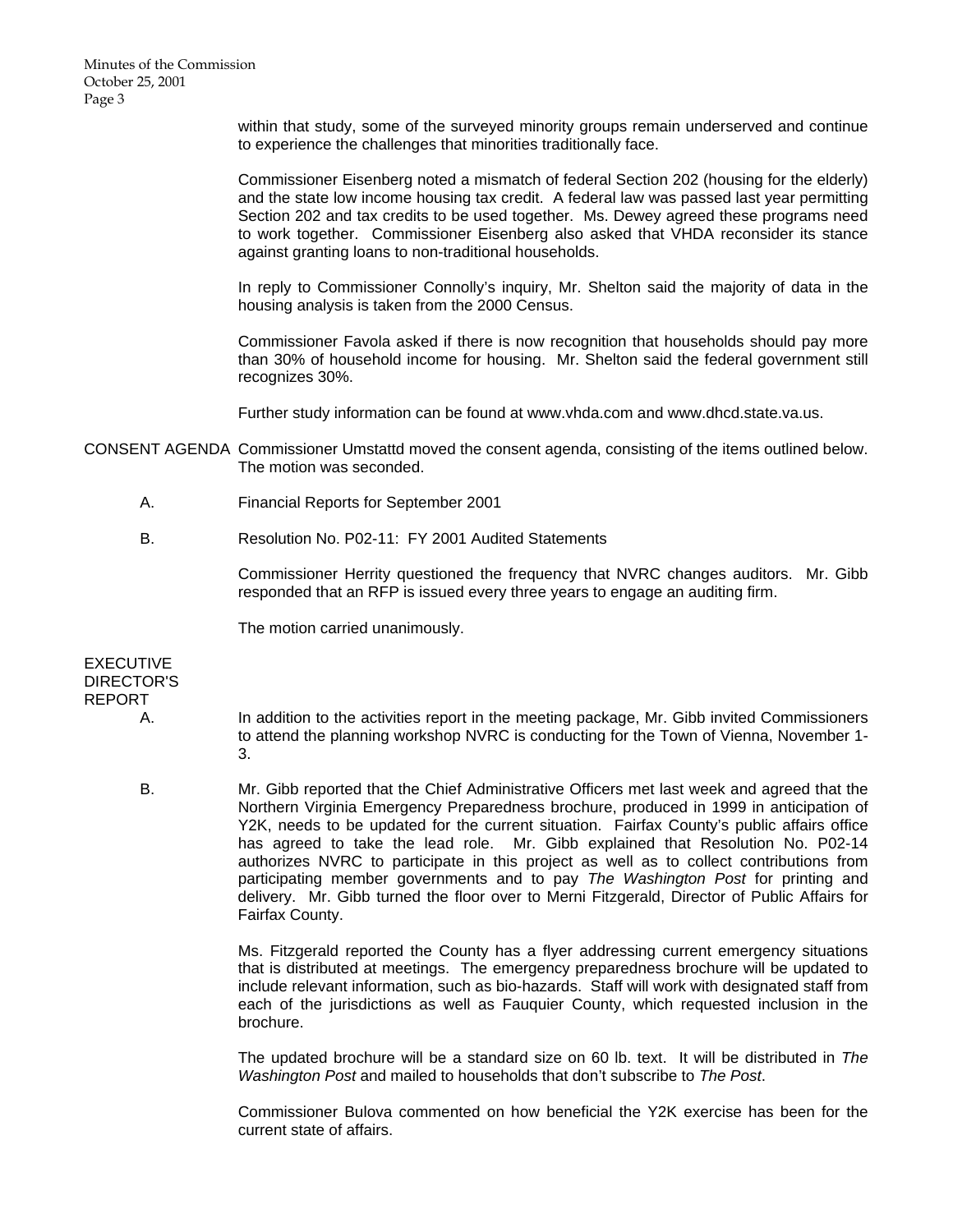within that study, some of the surveyed minority groups remain underserved and continue to experience the challenges that minorities traditionally face.

Commissioner Eisenberg noted a mismatch of federal Section 202 (housing for the elderly) and the state low income housing tax credit. A federal law was passed last year permitting Section 202 and tax credits to be used together. Ms. Dewey agreed these programs need to work together. Commissioner Eisenberg also asked that VHDA reconsider its stance against granting loans to non-traditional households.

In reply to Commissioner Connolly's inquiry, Mr. Shelton said the majority of data in the housing analysis is taken from the 2000 Census.

Commissioner Favola asked if there is now recognition that households should pay more than 30% of household income for housing. Mr. Shelton said the federal government still recognizes 30%.

Further study information can be found at www.vhda.com and www.dhcd.state.va.us.

CONSENT AGENDA Commissioner Umstattd moved the consent agenda, consisting of the items outlined below. The motion was seconded.

- A. Financial Reports for September 2001
- B. Resolution No. P02-11: FY 2001 Audited Statements

 Commissioner Herrity questioned the frequency that NVRC changes auditors. Mr. Gibb responded that an RFP is issued every three years to engage an auditing firm.

The motion carried unanimously.

**EXECUTIVE** DIRECTOR'S REPORT

- A. In addition to the activities report in the meeting package, Mr. Gibb invited Commissioners to attend the planning workshop NVRC is conducting for the Town of Vienna, November 1- 3.
- B. Mr. Gibb reported that the Chief Administrative Officers met last week and agreed that the Northern Virginia Emergency Preparedness brochure, produced in 1999 in anticipation of Y2K, needs to be updated for the current situation. Fairfax County's public affairs office has agreed to take the lead role. Mr. Gibb explained that Resolution No. P02-14 authorizes NVRC to participate in this project as well as to collect contributions from participating member governments and to pay *The Washington Post* for printing and delivery. Mr. Gibb turned the floor over to Merni Fitzgerald, Director of Public Affairs for Fairfax County.

Ms. Fitzgerald reported the County has a flyer addressing current emergency situations that is distributed at meetings. The emergency preparedness brochure will be updated to include relevant information, such as bio-hazards. Staff will work with designated staff from each of the jurisdictions as well as Fauquier County, which requested inclusion in the brochure.

 The updated brochure will be a standard size on 60 lb. text. It will be distributed in *The Washington Post* and mailed to households that don't subscribe to *The Post*.

 Commissioner Bulova commented on how beneficial the Y2K exercise has been for the current state of affairs.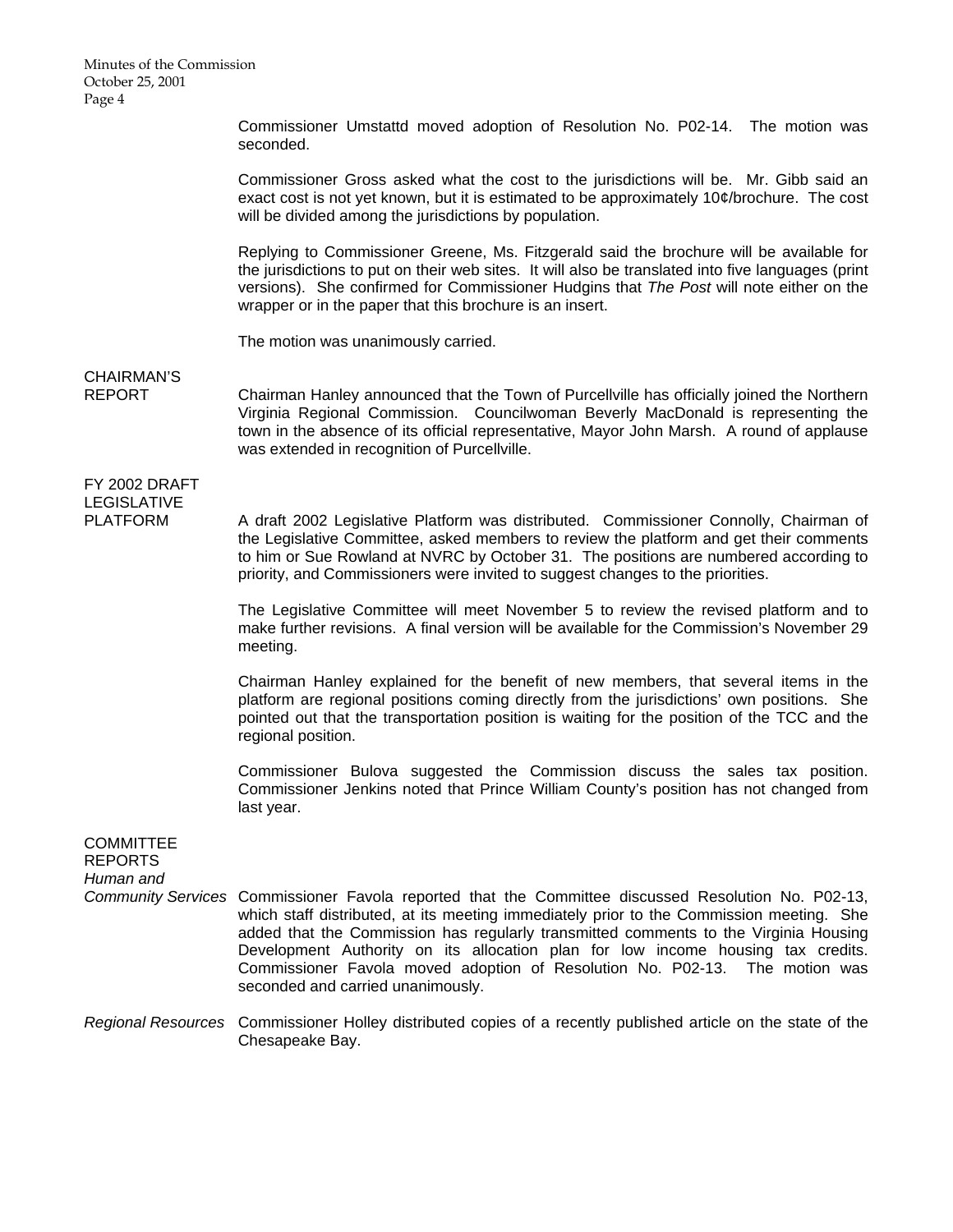Minutes of the Commission October 25, 2001 Page 4

> Commissioner Umstattd moved adoption of Resolution No. P02-14. The motion was seconded.

> Commissioner Gross asked what the cost to the jurisdictions will be. Mr. Gibb said an exact cost is not yet known, but it is estimated to be approximately 10¢/brochure. The cost will be divided among the jurisdictions by population.

> Replying to Commissioner Greene, Ms. Fitzgerald said the brochure will be available for the jurisdictions to put on their web sites. It will also be translated into five languages (print versions). She confirmed for Commissioner Hudgins that *The Post* will note either on the wrapper or in the paper that this brochure is an insert.

The motion was unanimously carried.

CHAIRMAN'S

REPORT Chairman Hanley announced that the Town of Purcellville has officially joined the Northern Virginia Regional Commission. Councilwoman Beverly MacDonald is representing the town in the absence of its official representative, Mayor John Marsh. A round of applause was extended in recognition of Purcellville.

# FY 2002 DRAFT LEGISLATIVE

PLATFORM A draft 2002 Legislative Platform was distributed. Commissioner Connolly, Chairman of the Legislative Committee, asked members to review the platform and get their comments to him or Sue Rowland at NVRC by October 31. The positions are numbered according to priority, and Commissioners were invited to suggest changes to the priorities.

> The Legislative Committee will meet November 5 to review the revised platform and to make further revisions. A final version will be available for the Commission's November 29 meeting.

> Chairman Hanley explained for the benefit of new members, that several items in the platform are regional positions coming directly from the jurisdictions' own positions. She pointed out that the transportation position is waiting for the position of the TCC and the regional position.

> Commissioner Bulova suggested the Commission discuss the sales tax position. Commissioner Jenkins noted that Prince William County's position has not changed from last year.

| <b>COMMITTEE</b><br><b>REPORTS</b><br>Human and |                                                                                                                                                                                                                                                                                                                                                                                                                                                                                                 |
|-------------------------------------------------|-------------------------------------------------------------------------------------------------------------------------------------------------------------------------------------------------------------------------------------------------------------------------------------------------------------------------------------------------------------------------------------------------------------------------------------------------------------------------------------------------|
|                                                 | Community Services Commissioner Favola reported that the Committee discussed Resolution No. P02-13,<br>which staff distributed, at its meeting immediately prior to the Commission meeting. She<br>added that the Commission has regularly transmitted comments to the Virginia Housing<br>Development Authority on its allocation plan for low income housing tax credits.<br>Commissioner Favola moved adoption of Resolution No. P02-13. The motion was<br>seconded and carried unanimously. |

*Regional Resources* Commissioner Holley distributed copies of a recently published article on the state of the Chesapeake Bay.